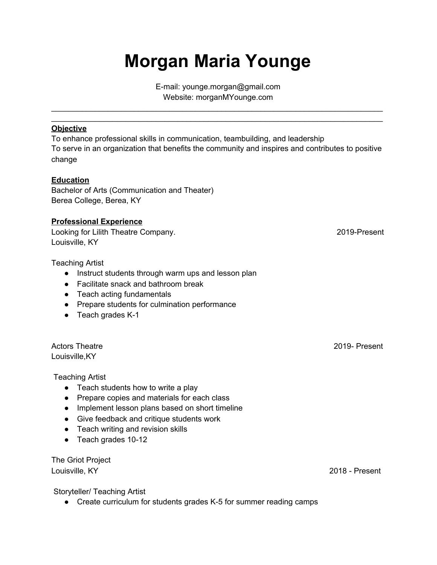## **Morgan Maria Younge**

E-mail: younge.morgan@gmail.com Website: morganMYounge.com

\_\_\_\_\_\_\_\_\_\_\_\_\_\_\_\_\_\_\_\_\_\_\_\_\_\_\_\_\_\_\_\_\_\_\_\_\_\_\_\_\_\_\_\_\_\_\_\_\_\_\_\_\_\_\_\_\_\_\_\_\_\_\_\_\_\_\_\_\_\_\_\_\_\_\_\_ \_\_\_\_\_\_\_\_\_\_\_\_\_\_\_\_\_\_\_\_\_\_\_\_\_\_\_\_\_\_\_\_\_\_\_\_\_\_\_\_\_\_\_\_\_\_\_\_\_\_\_\_\_\_\_\_\_\_\_\_\_\_\_\_\_\_\_\_\_\_\_\_\_\_\_\_

## **Objective**

To enhance professional skills in communication, teambuilding, and leadership To serve in an organization that benefits the community and inspires and contributes to positive change

## **Education**

Bachelor of Arts (Communication and Theater) Berea College, Berea, KY

## **Professional Experience**

Looking for Lilith Theatre Company. 2019-Present Louisville, KY

Teaching Artist

- Instruct students through warm ups and lesson plan
- Facilitate snack and bathroom break
- Teach acting fundamentals
- Prepare students for culmination performance
- Teach grades K-1

Actors Theatre 2019- Present Louisville,KY

Teaching Artist

- Teach students how to write a play
- Prepare copies and materials for each class
- Implement lesson plans based on short timeline
- Give feedback and critique students work
- Teach writing and revision skills
- Teach grades 10-12

The Griot Project Louisville, KY 2018 - Present

Storyteller/ Teaching Artist

● Create curriculum for students grades K-5 for summer reading camps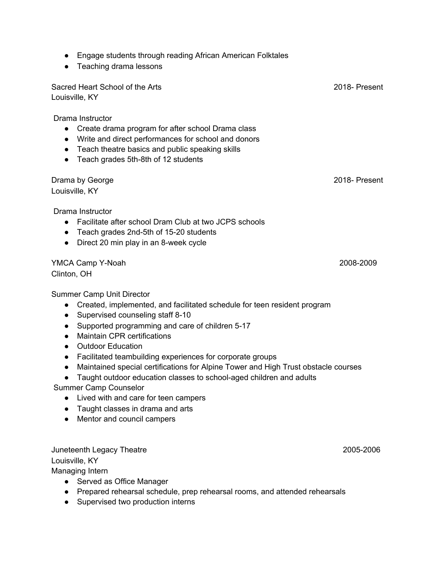- Engage students through reading African American Folktales
- Teaching drama lessons

Sacred Heart School of the Arts 2018- Present Louisville, KY

Drama Instructor

- Create drama program for after school Drama class
- Write and direct performances for school and donors
- Teach theatre basics and public speaking skills
- Teach grades 5th-8th of 12 students

Drama by George 2018- Present Louisville, KY

Drama Instructor

- Facilitate after school Dram Club at two JCPS schools
- Teach grades 2nd-5th of 15-20 students
- Direct 20 min play in an 8-week cycle

YMCA Camp Y-Noah 2008-2009 Clinton, OH

Summer Camp Unit Director

- Created, implemented, and facilitated schedule for teen resident program
- Supervised counseling staff 8-10
- Supported programming and care of children 5-17
- Maintain CPR certifications
- Outdoor Education
- Facilitated teambuilding experiences for corporate groups
- Maintained special certifications for Alpine Tower and High Trust obstacle courses
- Taught outdoor education classes to school-aged children and adults

Summer Camp Counselor

- Lived with and care for teen campers
- Taught classes in drama and arts
- Mentor and council campers

Juneteenth Legacy Theatre 2005-2006

Louisville, KY

Managing Intern

- Served as Office Manager
- Prepared rehearsal schedule, prep rehearsal rooms, and attended rehearsals
- Supervised two production interns